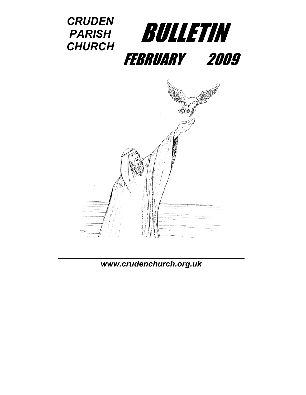

*[www.crudenc](http://www.cruden/)hurch.org.uk*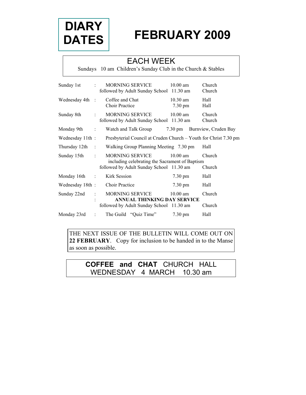

# **FEBRUARY 2009**

### EACH WEEK

Sundays 10 am Children's Sunday Club in the Church & Stables

| Sunday 1st      |                      | MORNING SERVICE<br>followed by Adult Sunday School 11.30 am              | $10.00$ am            | Church<br>Church     |
|-----------------|----------------------|--------------------------------------------------------------------------|-----------------------|----------------------|
| Wednesday 4th   | $\mathcal{A}$        | Coffee and Chat<br><b>Choir Practice</b>                                 | $10.30$ am<br>7.30 pm | Hall<br>Hall         |
| Sunday 8th      |                      | MORNING SERVICE<br>followed by Adult Sunday School 11.30 am              | $10.00$ am            | Church<br>Church     |
| Monday 9th      | $\ddot{\phantom{a}}$ | Watch and Talk Group                                                     | $7.30 \text{ pm}$     | Burnview, Cruden Bay |
| Wednesday 11th: |                      | Presbyterial Council at Cruden Church – Youth for Christ 7.30 pm         |                       |                      |
| Thursday 12th   | $\sim$ 1             | Walking Group Planning Meeting 7.30 pm                                   |                       | Hall                 |
| Sunday 15th     | ÷                    | <b>MORNING SERVICE</b><br>including celebrating the Sacrament of Baptism | $10.00$ am            | Church               |
|                 |                      | followed by Adult Sunday School 11.30 am                                 |                       | Church               |
| Monday 16th     | $\mathbb{C}$         | Kirk Session                                                             | $7.30 \text{ pm}$     | Hall                 |
| Wednesday 18th: |                      | <b>Choir Practice</b>                                                    | $7.30 \text{ pm}$     | Hall                 |
| Sunday 22nd     |                      | MORNING SERVICE<br><b>ANNUAL THINKING DAY SERVICE</b>                    | $10.00$ am            | Church               |
|                 |                      | followed by Adult Sunday School 11.30 am                                 |                       | Church               |
| Monday 23rd     |                      | The Guild "Quiz Time"                                                    | $7.30 \text{ pm}$     | Hall                 |

THE NEXT ISSUE OF THE BULLETIN WILL COME OUT ON **22 FEBRUARY**. Copy for inclusion to be handed in to the Manse as soon as possible.

### **COFFEE and CHAT** CHURCH HALL WEDNESDAY 4 MARCH 10.30 am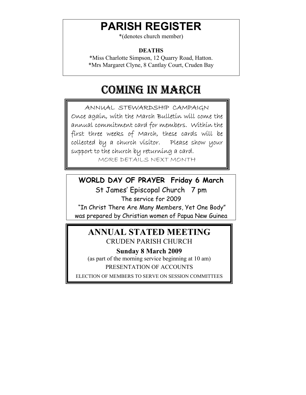# **PARISH REGISTER**

\*(denotes church member)

### **DEATHS**

\*Miss Charlotte Simpson, 12 Quarry Road, Hatton. \*Mrs Margaret Clyne, 8 Cantlay Court, Cruden Bay

# COMING IN MARCH

ANNUAL STEWARDSHIP CAMPAIGN Once again, with the March Bulletin will come the annual commitment card for members. Within the first three weeks of March, these cards will be collected by a church visitor. Please show your support to the church by returning a card.

MORE DETAILS NEXT MONTH

**WORLD DAY OF PRAYER Friday 6 March** 

St James' Episcopal Church 7 pm The service for 2009 "In Christ There Are Many Members, Yet One Body"

was prepared by Christian women of Papua New Guinea

## **ANNUAL STATED MEETING**  CRUDEN PARISH CHURCH

**Sunday 8 March 2009**  (as part of the morning service beginning at 10 am) PRESENTATION OF ACCOUNTS

ELECTION OF MEMBERS TO SERVE ON SESSION COMMITTEES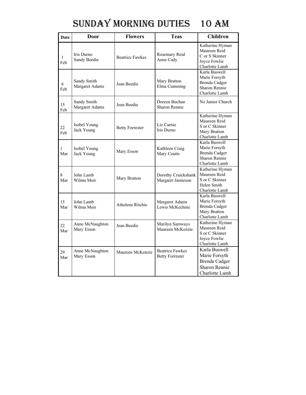# SUNDAY MORNING DUTIES 10 AM

| Date      | <b>Door</b>                   | <b>Flowers</b>         | <b>Teas</b>                                      | <b>Children</b>                                                                                  |
|-----------|-------------------------------|------------------------|--------------------------------------------------|--------------------------------------------------------------------------------------------------|
| 1<br>Feb  | Iris Durno<br>Sandy Beedie    | <b>Beatrice Fawkes</b> | Rosemary Reid<br>Anne Cady                       | Katherine Hyman<br>Maureen Reid<br>C or S Skinner<br>Joyce Fowlie<br>Charlotte Lamb              |
| 8<br>Feb  | Sandy Smith<br>Margaret Adams | Jean Beedie            | Mary Bratton<br>Elma Cumming                     | Karla Buswell<br>Marie Forsyth<br><b>Brenda Cadger</b><br>Sharon Rennie<br>Charlotte Lamb        |
| 15<br>Feb | Sandy Smith<br>Margaret Adams | Jean Beedie            | Doreen Buchan<br>Sharon Rennie                   | No Junior Church                                                                                 |
| 22<br>Feb | Isobel Young<br>Jack Young    | <b>Betty Forrester</b> | Liz Carnie<br>Iris Durno                         | Katherine Hyman<br>Maureen Reid<br>S or C Skinner<br>Mary Bratton<br>Charlotte Lamb              |
| 1<br>Mar  | Isobel Young<br>Jack Young    | Mary Esson             | Kathleen Craig<br>Mary Coutts                    | Karla Buswell<br>Marie Forsyth<br><b>Brenda Cadger</b><br><b>Sharon Rennie</b><br>Charlotte Lamb |
| 8<br>Mar  | John Lamb<br>Wilma Moir       | Mary Bratton           | Dorothy Cruickshank<br>Margaret Jamieson         | Katherine Hyman<br>Maureen Reid<br>S or C Skinner<br>Helen Smith<br>Charlotte Lamb               |
| 15<br>Mar | John Lamb<br>Wilma Moir       | Atholene Ritchie       | Margaret Adams<br>Lewis McKechnie                | Karla Buswell<br>Marie Forsyth<br><b>Brenda Cadger</b><br>Mary Bratton<br>Charlotte Lamb         |
| 22<br>Mar | Anne McNaughton<br>Mary Esson | Jean Beedie            | Marilyn Samways<br>Maureen McKenzie              | Katherine Hyman<br>Maureen Reid<br>S or C Skinner<br>Joyce Fowlie<br>Charlotte Lamb              |
| 29<br>Mar | Anne McNaughton<br>Mary Esson | Maureen McKenzie       | <b>Beatrice Fawkes</b><br><b>Betty Forrester</b> | Karla Buswell<br>Marie Forsyth<br><b>Brenda Cadger</b><br>Sharon Rennie<br>Charlotte Lamb        |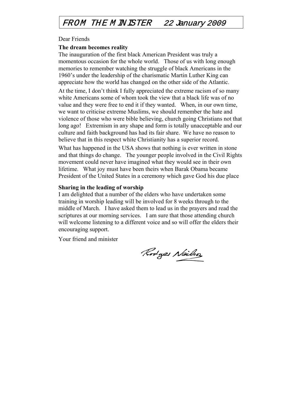### FROM THE M INISTER 22 January 2009

#### Dear Friends

#### **The dream becomes reality**

The inauguration of the first black American President was truly a momentous occasion for the whole world. Those of us with long enough memories to remember watching the struggle of black Americans in the 1960's under the leadership of the charismatic Martin Luther King can appreciate how the world has changed on the other side of the Atlantic.

At the time, I don't think I fully appreciated the extreme racism of so many white Americans some of whom took the view that a black life was of no value and they were free to end it if they wanted. When, in our own time, we want to criticise extreme Muslims, we should remember the hate and violence of those who were bible believing, church going Christians not that long ago! Extremism in any shape and form is totally unacceptable and our culture and faith background has had its fair share. We have no reason to believe that in this respect white Christianity has a superior record.

What has happened in the USA shows that nothing is ever written in stone and that things do change. The younger people involved in the Civil Rights movement could never have imagined what they would see in their own lifetime. What joy must have been theirs when Barak Obama became President of the United States in a ceremony which gave God his due place

#### **Sharing in the leading of worship**

I am delighted that a number of the elders who have undertaken some training in worship leading will be involved for 8 weeks through to the middle of March. I have asked them to lead us in the prayers and read the scriptures at our morning services. I am sure that those attending church will welcome listening to a different voice and so will offer the elders their encouraging support.

Your friend and minister

Rodges Neilso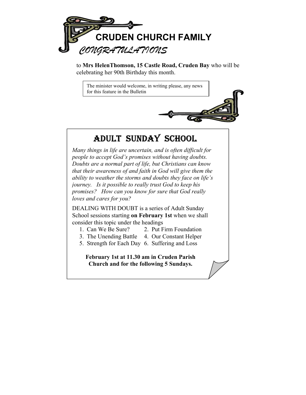

to **Mrs HelenThomson, 15 Castle Road, Cruden Bay** who will be celebrating her 90th Birthday this month.

The minister would welcome, in writing please, any news for this feature in the Bulletin

## ADULT SUNDAY SCHOOL

*Many things in life are uncertain, and is often difficult for people to accept God's promises without having doubts. Doubts are a normal part of life, but Christians can know that their awareness of and faith in God will give them the ability to weather the storms and doubts they face on life's journey. Is it possible to really trust God to keep his promises? How can you know for sure that God really loves and cares for you?* 

DEALING WITH DOUBT is a series of Adult Sunday School sessions starting **on February 1st** when we shall consider this topic under the headings

- 1. Can We Be Sure? 2. Put Firm Foundation
- 3. The Unending Battle 4. Our Constant Helper
- 5. Strength for Each Day 6. Suffering and Loss

**February 1st at 11.30 am in Cruden Parish Church and for the following 5 Sundays.**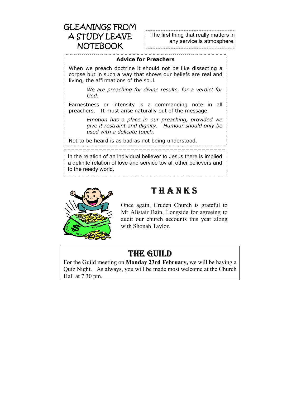## GLEANINGS FROM A STUDY LEAVE NOTEBOOK

The first thing that really matters in any service is atmosphere.

\_\_\_\_\_\_\_\_\_\_\_\_\_\_\_\_\_\_\_\_\_\_\_\_\_\_\_\_

#### **Advice for Preachers**

When we preach doctrine it should not be like dissecting a corpse but in such a way that shows our beliefs are real and living, the affirmations of the soul.

> *We are preaching for divine results, for a verdict for God.*

Earnestness or intensity is a commanding note in all preachers. It must arise naturally out of the message.

> *Emotion has a place in our preaching, provided we give it restraint and dignity. Humour should only be used with a delicate touch.*

Not to be heard is as bad as not being understood.

In the relation of an individual believer to Jesus there is implied a definite relation of love and service tov all other believers and to the needy world.



## **THANKS**

Once again, Cruden Church is grateful to Mr Alistair Bain, Longside for agreeing to audit our church accounts this year along with Shonah Taylor.

## THE GUILD

For the Guild meeting on **Monday 23rd February,** we will be having a Quiz Night. As always, you will be made most welcome at the Church Hall at 7.30 pm.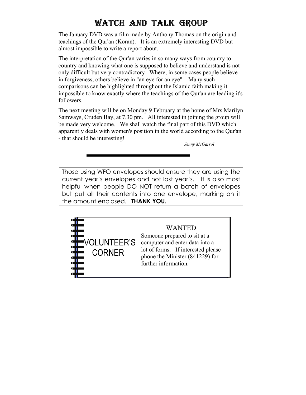## WATCH AND TALK GROUP

The January DVD was a film made by Anthony Thomas on the origin and teachings of the Qur'an (Koran). It is an extremely interesting DVD but almost impossible to write a report about.

The interpretation of the Qur'an varies in so many ways from country to country and knowing what one is supposed to believe and understand is not only difficult but very contradictory Where, in some cases people believe in forgiveness, others believe in "an eye for an eye". Many such comparisons can be highlighted throughout the Islamic faith making it impossible to know exactly where the teachings of the Qur'an are leading it's followers.

The next meeting will be on Monday 9 February at the home of Mrs Marilyn Samways, Cruden Bay, at 7.30 pm. All interested in joining the group will be made very welcome. We shall watch the final part of this DVD which apparently deals with women's position in the world according to the Qur'an - that should be interesting!

*Jenny McGarrol* 

Those using WFO envelopes should ensure they are using the current year's envelopes and not last year's. It is also most helpful when people DO NOT return a batch of envelopes but put all their contents into one envelope, marking on it the amount enclosed. **THANK YOU.** 



#### WANTED

Someone prepared to sit at a computer and enter data into a lot of forms. If interested please phone the Minister (841229) for further information.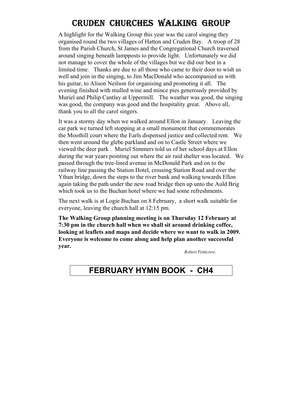## CRUDEN CHURCHES WALKING GROUP

A highlight for the Walking Group this year was the carol singing they organised round the two villages of Hatton and Cruden Bay. A troop of 28 from the Parish Church, St James and the Congregational Church traversed around singing beneath lampposts to provide light. Unfortunately we did not manage to cover the whole of the villages but we did our best in a limited time. Thanks are due to all those who came to their door to wish us well and join in the singing, to Jim MacDonald who accompanied us with his guitar, to Alison Neilson for organising and promoting it all. The evening finished with mulled wine and mince pies generously provided by Muriel and Philip Cantlay at Uppermill. The weather was good, the singing was good, the company was good and the hospitality great. Above all, thank you to all the carol singers.

It was a stormy day when we walked around Ellon in January. Leaving the car park we turned left stopping at a small monument that commemorates the Moothill court where the Earls dispensed justice and collected rent. We then went around the glebe parkland and on to Castle Street where we viewed the deer park . Muriel Simmers told us of her school days at Ellon during the war years pointing out where the air raid shelter was located. We passed through the tree-lined avenue in McDonald Park and on to the railway line passing the Station Hotel, crossing Station Road and over the Ythan bridge, down the steps to the river bank and walking towards Ellon again taking the path under the new road bridge then up unto the Auld Brig which took us to the Buchan hotel where we had some refreshments.

The next walk is at Logie Buchan on 8 February, a short walk suitable for everyone, leaving the church hall at 12:15 pm.

**The Walking Group planning meeting is on Thursday 12 February at 7:30 pm in the church hall when we shall sit around drinking coffee, looking at leaflets and maps and decide where we want to walk in 2009. Everyone is welcome to come along and help plan another successful year.** 

*Robert Petticrew.* 

### **FEBRUARY HYMN BOOK - CH4**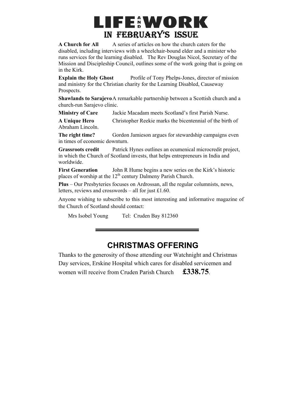# **LIFE:WORK** IN FEBRUARY'S ISSUE

**A Church for All** A series of articles on how the church caters for the disabled, including interviews with a wheelchair-bound elder and a minister who runs services for the learning disabled. The Rev Douglas Nicol, Secretary of the Mission and Discipleship Council, outlines some of the work going that is going on in the Kirk.

**Explain the Holy Ghost** Profile of Tony Phelps-Jones, director of mission and ministry for the Christian charity for the Learning Disabled, Causeway Prospects.

**Shawlands to Sarajevo** A remarkable partnership between a Scottish church and a church-run Sarajevo clinic.

**Ministry of Care** Jackie Macadam meets Scotland's first Parish Nurse.

**A Unique Hero** Christopher Reekie marks the bicentennial of the birth of Abraham Lincoln.

**The right time?** Gordon Jamieson argues for stewardship campaigns even in times of economic downturn.

**Grassroots credit** Patrick Hynes outlines an ecumenical microcredit project, in which the Church of Scotland invests, that helps entrepreneurs in India and worldwide.

**First Generation** John R Hume begins a new series on the Kirk's historic places of worship at the  $12<sup>th</sup>$  century Dalmeny Parish Church.

**Plus** – Our Presbyteries focuses on Ardrossan, all the regular columnists, news, letters, reviews and crosswords – all for just £1.60.

Anyone wishing to subscribe to this most interesting and informative magazine of the Church of Scotland should contact:

Mrs Isobel Young Tel: Cruden Bay 812360

### **CHRISTMAS OFFERING**

Thanks to the generosity of those attending our Watchnight and Christmas Day services, Erskine Hospital which cares for disabled servicemen and women will receive from Cruden Parish Church **£338.75**.